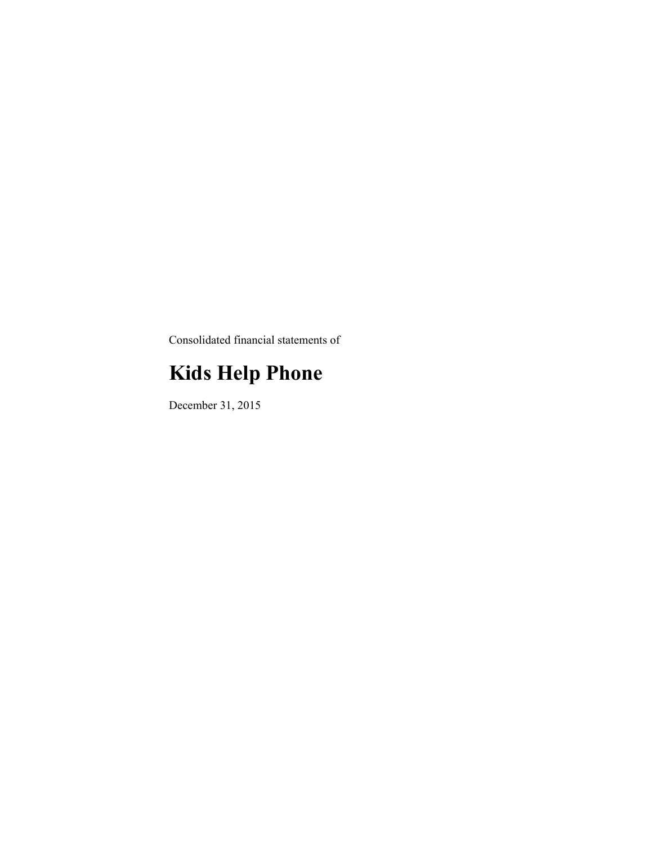Consolidated financial statements of

# **Kids Help Phone**

December 31, 2015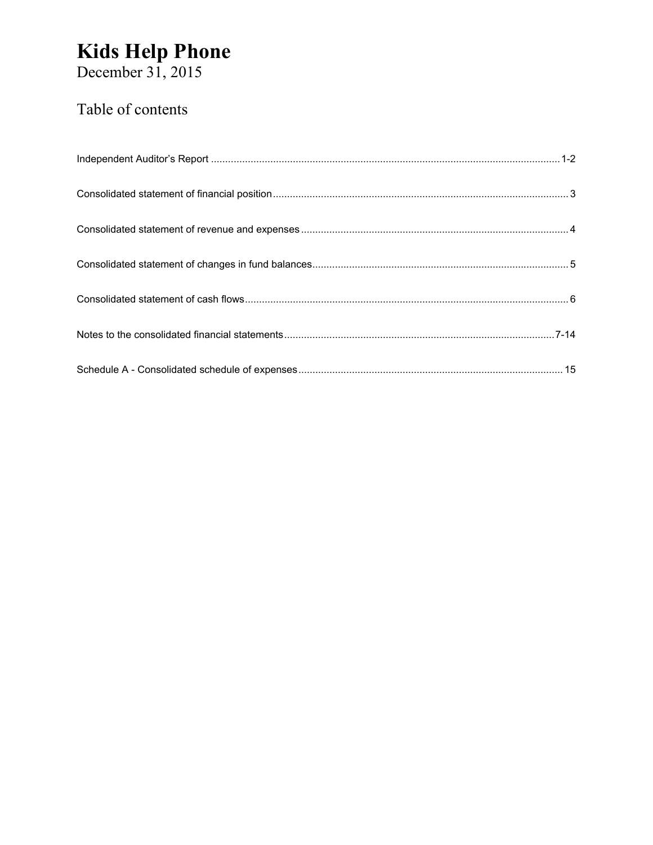December 31, 2015

## Table of contents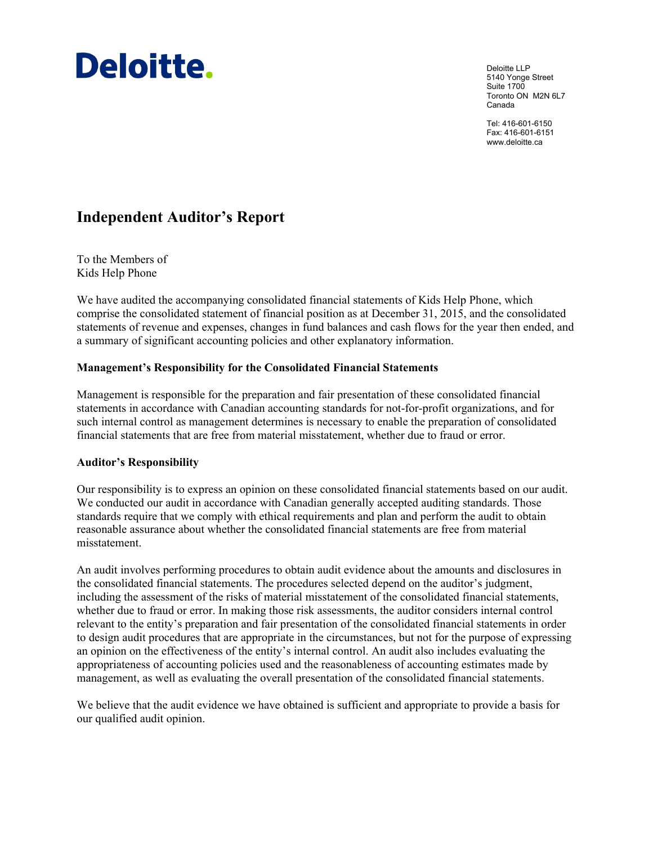

Deloitte LLP 5140 Yonge Street Suite 1700 Toronto ON M2N 6L7 Canada

Tel: 416-601-6150 Fax: 416-601-6151 www.deloitte.ca

### **Independent Auditor's Report**

To the Members of Kids Help Phone

We have audited the accompanying consolidated financial statements of Kids Help Phone, which comprise the consolidated statement of financial position as at December 31, 2015, and the consolidated statements of revenue and expenses, changes in fund balances and cash flows for the year then ended, and a summary of significant accounting policies and other explanatory information.

#### **Management's Responsibility for the Consolidated Financial Statements**

Management is responsible for the preparation and fair presentation of these consolidated financial statements in accordance with Canadian accounting standards for not-for-profit organizations, and for such internal control as management determines is necessary to enable the preparation of consolidated financial statements that are free from material misstatement, whether due to fraud or error.

#### **Auditor's Responsibility**

Our responsibility is to express an opinion on these consolidated financial statements based on our audit. We conducted our audit in accordance with Canadian generally accepted auditing standards. Those standards require that we comply with ethical requirements and plan and perform the audit to obtain reasonable assurance about whether the consolidated financial statements are free from material misstatement.

An audit involves performing procedures to obtain audit evidence about the amounts and disclosures in the consolidated financial statements. The procedures selected depend on the auditor's judgment, including the assessment of the risks of material misstatement of the consolidated financial statements, whether due to fraud or error. In making those risk assessments, the auditor considers internal control relevant to the entity's preparation and fair presentation of the consolidated financial statements in order to design audit procedures that are appropriate in the circumstances, but not for the purpose of expressing an opinion on the effectiveness of the entity's internal control. An audit also includes evaluating the appropriateness of accounting policies used and the reasonableness of accounting estimates made by management, as well as evaluating the overall presentation of the consolidated financial statements.

We believe that the audit evidence we have obtained is sufficient and appropriate to provide a basis for our qualified audit opinion.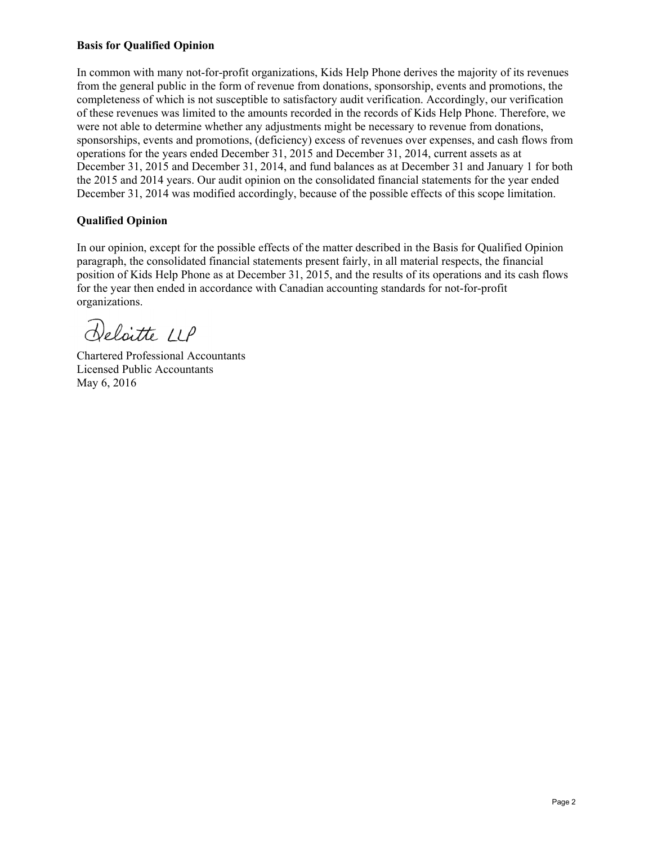#### **Basis for Qualified Opinion**

In common with many not-for-profit organizations, Kids Help Phone derives the majority of its revenues from the general public in the form of revenue from donations, sponsorship, events and promotions, the completeness of which is not susceptible to satisfactory audit verification. Accordingly, our verification of these revenues was limited to the amounts recorded in the records of Kids Help Phone. Therefore, we were not able to determine whether any adjustments might be necessary to revenue from donations, sponsorships, events and promotions, (deficiency) excess of revenues over expenses, and cash flows from operations for the years ended December 31, 2015 and December 31, 2014, current assets as at December 31, 2015 and December 31, 2014, and fund balances as at December 31 and January 1 for both the 2015 and 2014 years. Our audit opinion on the consolidated financial statements for the year ended December 31, 2014 was modified accordingly, because of the possible effects of this scope limitation.

#### **Qualified Opinion**

In our opinion, except for the possible effects of the matter described in the Basis for Qualified Opinion paragraph, the consolidated financial statements present fairly, in all material respects, the financial position of Kids Help Phone as at December 31, 2015, and the results of its operations and its cash flows for the year then ended in accordance with Canadian accounting standards for not-for-profit organizations.

Deloitte LLP

Chartered Professional Accountants Licensed Public Accountants May 6, 2016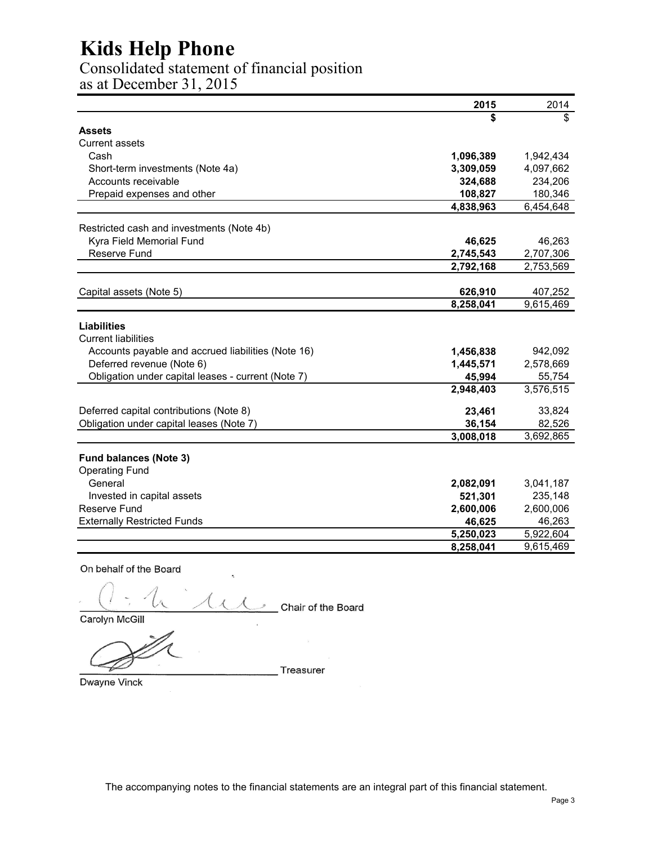## Consolidated statement of financial position

as at December 31, 2015

|                                                    | 2015      | 2014      |
|----------------------------------------------------|-----------|-----------|
|                                                    | \$        | \$        |
| <b>Assets</b>                                      |           |           |
| <b>Current assets</b>                              |           |           |
| Cash                                               | 1,096,389 | 1,942,434 |
| Short-term investments (Note 4a)                   | 3,309,059 | 4,097,662 |
| Accounts receivable                                | 324,688   | 234,206   |
| Prepaid expenses and other                         | 108,827   | 180,346   |
|                                                    | 4,838,963 | 6,454,648 |
| Restricted cash and investments (Note 4b)          |           |           |
| Kyra Field Memorial Fund                           | 46,625    | 46,263    |
| Reserve Fund                                       | 2,745,543 | 2,707,306 |
|                                                    |           |           |
|                                                    | 2,792,168 | 2,753,569 |
| Capital assets (Note 5)                            | 626,910   | 407,252   |
|                                                    | 8,258,041 | 9,615,469 |
|                                                    |           |           |
| <b>Liabilities</b>                                 |           |           |
| <b>Current liabilities</b>                         |           |           |
| Accounts payable and accrued liabilities (Note 16) | 1,456,838 | 942,092   |
| Deferred revenue (Note 6)                          | 1,445,571 | 2,578,669 |
| Obligation under capital leases - current (Note 7) | 45,994    | 55,754    |
|                                                    | 2,948,403 | 3,576,515 |
| Deferred capital contributions (Note 8)            | 23,461    | 33,824    |
| Obligation under capital leases (Note 7)           | 36,154    | 82,526    |
|                                                    | 3,008,018 | 3,692,865 |
|                                                    |           |           |
| <b>Fund balances (Note 3)</b>                      |           |           |
| <b>Operating Fund</b>                              |           |           |
| General                                            | 2,082,091 | 3,041,187 |
| Invested in capital assets                         | 521,301   | 235,148   |
| Reserve Fund                                       | 2,600,006 | 2,600,006 |
| <b>Externally Restricted Funds</b>                 | 46,625    | 46,263    |
|                                                    | 5,250,023 | 5,922,604 |
|                                                    | 8,258,041 | 9,615,469 |

On behalf of the Board

 $\lambda$ Chair of the Board  $\overline{z}$ 

Carolyn McGill

Treasurer

Dwayne Vinck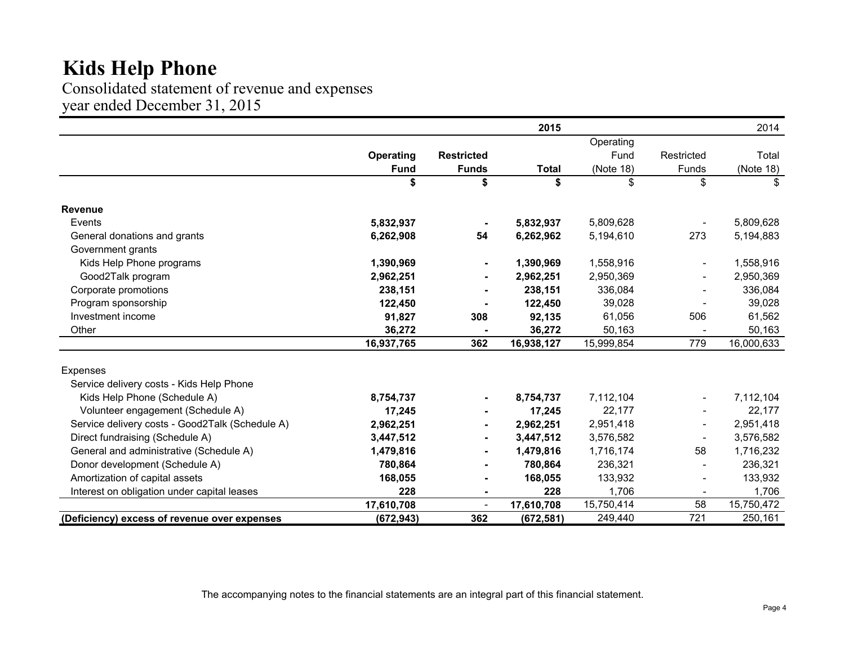Consolidated statement of revenue and expenses year ended December 31, 2015

|                                                 |             |                          | 2015         |            |                          | 2014       |
|-------------------------------------------------|-------------|--------------------------|--------------|------------|--------------------------|------------|
|                                                 |             |                          |              | Operating  |                          |            |
|                                                 | Operating   | <b>Restricted</b>        |              | Fund       | Restricted               | Total      |
|                                                 | <b>Fund</b> | <b>Funds</b>             | <b>Total</b> | (Note 18)  | Funds                    | (Note 18)  |
|                                                 | \$          | \$                       | \$           | \$         | \$                       | \$         |
| <b>Revenue</b>                                  |             |                          |              |            |                          |            |
| Events                                          | 5,832,937   |                          | 5,832,937    | 5,809,628  |                          | 5,809,628  |
| General donations and grants                    | 6,262,908   | 54                       | 6,262,962    | 5,194,610  | 273                      | 5,194,883  |
| Government grants                               |             |                          |              |            |                          |            |
| Kids Help Phone programs                        | 1,390,969   |                          | 1,390,969    | 1,558,916  | $\overline{\phantom{a}}$ | 1,558,916  |
| Good2Talk program                               | 2,962,251   |                          | 2,962,251    | 2,950,369  |                          | 2,950,369  |
| Corporate promotions                            | 238,151     |                          | 238,151      | 336,084    |                          | 336,084    |
| Program sponsorship                             | 122,450     |                          | 122,450      | 39,028     |                          | 39,028     |
| Investment income                               | 91,827      | 308                      | 92,135       | 61,056     | 506                      | 61,562     |
| Other                                           | 36,272      |                          | 36,272       | 50,163     |                          | 50,163     |
|                                                 | 16,937,765  | 362                      | 16,938,127   | 15,999,854 | 779                      | 16,000,633 |
| Expenses                                        |             |                          |              |            |                          |            |
| Service delivery costs - Kids Help Phone        |             |                          |              |            |                          |            |
| Kids Help Phone (Schedule A)                    | 8,754,737   |                          | 8,754,737    | 7,112,104  |                          | 7,112,104  |
| Volunteer engagement (Schedule A)               | 17,245      |                          | 17,245       | 22,177     |                          | 22,177     |
| Service delivery costs - Good2Talk (Schedule A) | 2,962,251   |                          | 2,962,251    | 2,951,418  | $\overline{\phantom{a}}$ | 2,951,418  |
| Direct fundraising (Schedule A)                 | 3,447,512   |                          | 3,447,512    | 3,576,582  |                          | 3,576,582  |
| General and administrative (Schedule A)         | 1,479,816   |                          | 1,479,816    | 1,716,174  | 58                       | 1,716,232  |
| Donor development (Schedule A)                  | 780,864     |                          | 780,864      | 236,321    | $\blacksquare$           | 236,321    |
| Amortization of capital assets                  | 168,055     |                          | 168,055      | 133,932    | $\overline{\phantom{a}}$ | 133,932    |
| Interest on obligation under capital leases     | 228         |                          | 228          | 1,706      |                          | 1,706      |
|                                                 | 17,610,708  | $\overline{\phantom{a}}$ | 17,610,708   | 15,750,414 | 58                       | 15,750,472 |
| (Deficiency) excess of revenue over expenses    | (672, 943)  | 362                      | (672, 581)   | 249,440    | 721                      | 250,161    |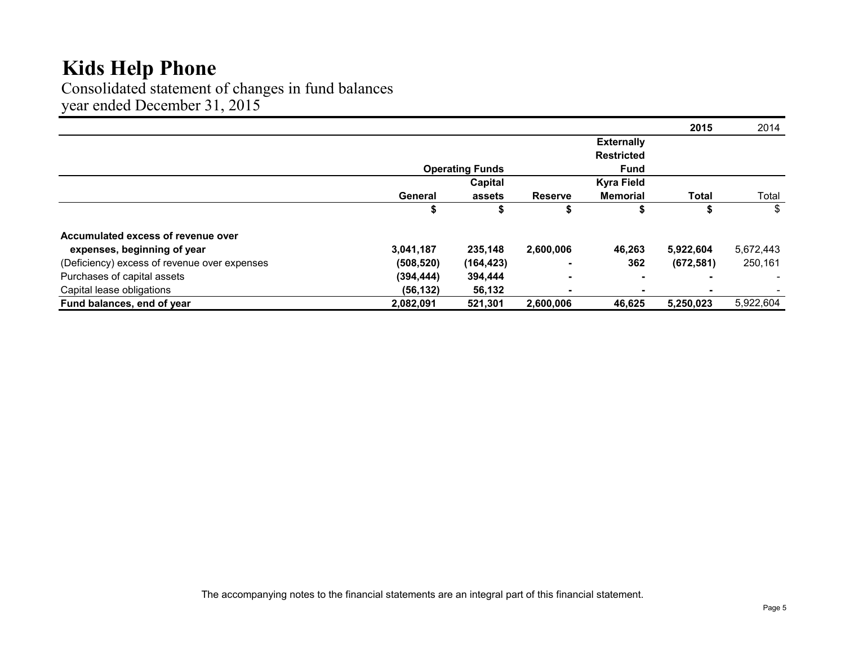Consolidated statement of changes in fund balances year ended December 31, 2015

|                                              |            |                        |                |                   | 2015         | 2014      |
|----------------------------------------------|------------|------------------------|----------------|-------------------|--------------|-----------|
|                                              |            |                        |                | <b>Externally</b> |              |           |
|                                              |            |                        |                | <b>Restricted</b> |              |           |
|                                              |            | <b>Operating Funds</b> |                | <b>Fund</b>       |              |           |
|                                              |            | Capital                |                | <b>Kyra Field</b> |              |           |
|                                              | General    | assets                 | <b>Reserve</b> | <b>Memorial</b>   | <b>Total</b> | Total     |
|                                              | \$         | S                      | S              | 5                 |              | \$        |
| Accumulated excess of revenue over           |            |                        |                |                   |              |           |
| expenses, beginning of year                  | 3,041,187  | 235,148                | 2,600,006      | 46,263            | 5,922,604    | 5,672,443 |
| (Deficiency) excess of revenue over expenses | (508, 520) | (164, 423)             |                | 362               | (672, 581)   | 250,161   |
| Purchases of capital assets                  | (394, 444) | 394,444                | $\blacksquare$ |                   |              |           |
| Capital lease obligations                    | (56, 132)  | 56,132                 |                |                   |              |           |
| Fund balances, end of year                   | 2,082,091  | 521,301                | 2,600,006      | 46,625            | 5,250,023    | 5,922,604 |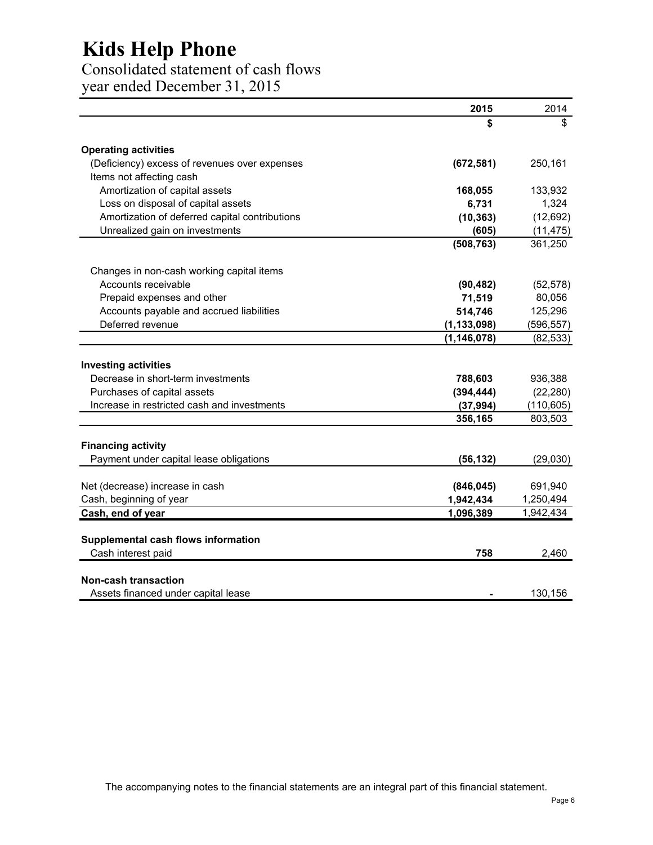Consolidated statement of cash flows

year ended December 31, 2015

|                                                | 2015          | 2014       |
|------------------------------------------------|---------------|------------|
|                                                |               | \$         |
| <b>Operating activities</b>                    |               |            |
| (Deficiency) excess of revenues over expenses  | (672, 581)    | 250,161    |
| Items not affecting cash                       |               |            |
| Amortization of capital assets                 | 168,055       | 133,932    |
| Loss on disposal of capital assets             | 6,731         | 1,324      |
| Amortization of deferred capital contributions | (10, 363)     | (12, 692)  |
| Unrealized gain on investments                 | (605)         | (11, 475)  |
|                                                | (508, 763)    | 361,250    |
| Changes in non-cash working capital items      |               |            |
| Accounts receivable                            | (90, 482)     | (52, 578)  |
| Prepaid expenses and other                     | 71,519        | 80,056     |
| Accounts payable and accrued liabilities       | 514,746       | 125,296    |
| Deferred revenue                               | (1, 133, 098) | (596, 557) |
|                                                | (1, 146, 078) | (82, 533)  |
| <b>Investing activities</b>                    |               |            |
| Decrease in short-term investments             | 788,603       | 936,388    |
| Purchases of capital assets                    | (394, 444)    | (22, 280)  |
| Increase in restricted cash and investments    | (37, 994)     | (110, 605) |
|                                                | 356,165       | 803,503    |
| <b>Financing activity</b>                      |               |            |
| Payment under capital lease obligations        | (56, 132)     | (29, 030)  |
| Net (decrease) increase in cash                | (846, 045)    | 691,940    |
| Cash, beginning of year                        | 1,942,434     | 1,250,494  |
| Cash, end of year                              | 1,096,389     | 1,942,434  |
| Supplemental cash flows information            |               |            |
| Cash interest paid                             | 758           | 2,460      |
| <b>Non-cash transaction</b>                    |               |            |
| Assets financed under capital lease            |               | 130,156    |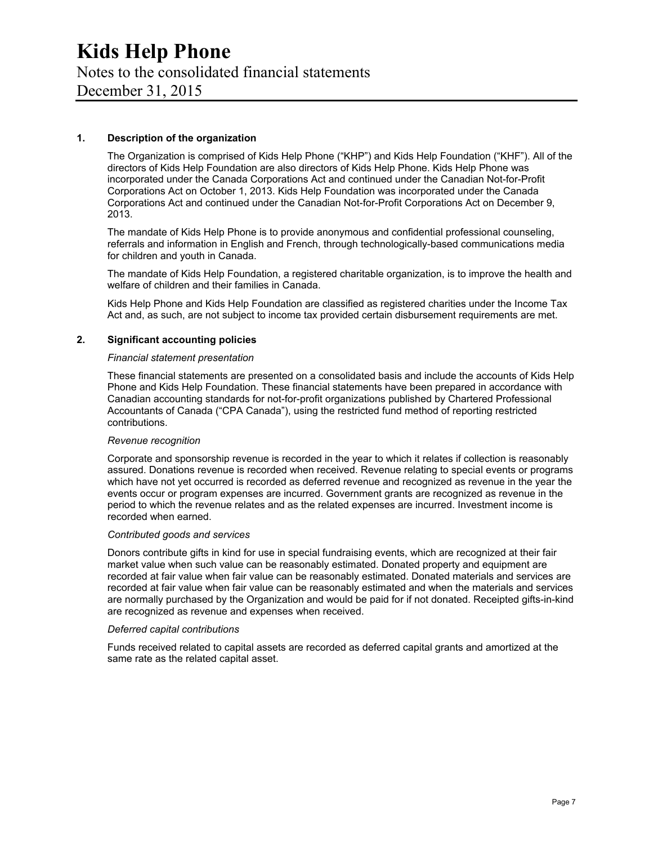### **Kids Help Phone**  Notes to the consolidated financial statements December 31, 2015

#### **1. Description of the organization**

The Organization is comprised of Kids Help Phone ("KHP") and Kids Help Foundation ("KHF"). All of the directors of Kids Help Foundation are also directors of Kids Help Phone. Kids Help Phone was incorporated under the Canada Corporations Act and continued under the Canadian Not-for-Profit Corporations Act on October 1, 2013. Kids Help Foundation was incorporated under the Canada Corporations Act and continued under the Canadian Not-for-Profit Corporations Act on December 9, 2013.

The mandate of Kids Help Phone is to provide anonymous and confidential professional counseling, referrals and information in English and French, through technologically-based communications media for children and youth in Canada.

The mandate of Kids Help Foundation, a registered charitable organization, is to improve the health and welfare of children and their families in Canada.

Kids Help Phone and Kids Help Foundation are classified as registered charities under the Income Tax Act and, as such, are not subject to income tax provided certain disbursement requirements are met.

#### **2. Significant accounting policies**

#### *Financial statement presentation*

These financial statements are presented on a consolidated basis and include the accounts of Kids Help Phone and Kids Help Foundation. These financial statements have been prepared in accordance with Canadian accounting standards for not-for-profit organizations published by Chartered Professional Accountants of Canada ("CPA Canada"), using the restricted fund method of reporting restricted contributions.

#### *Revenue recognition*

Corporate and sponsorship revenue is recorded in the year to which it relates if collection is reasonably assured. Donations revenue is recorded when received. Revenue relating to special events or programs which have not yet occurred is recorded as deferred revenue and recognized as revenue in the year the events occur or program expenses are incurred. Government grants are recognized as revenue in the period to which the revenue relates and as the related expenses are incurred. Investment income is recorded when earned.

#### *Contributed goods and services*

Donors contribute gifts in kind for use in special fundraising events, which are recognized at their fair market value when such value can be reasonably estimated. Donated property and equipment are recorded at fair value when fair value can be reasonably estimated. Donated materials and services are recorded at fair value when fair value can be reasonably estimated and when the materials and services are normally purchased by the Organization and would be paid for if not donated. Receipted gifts-in-kind are recognized as revenue and expenses when received.

#### *Deferred capital contributions*

Funds received related to capital assets are recorded as deferred capital grants and amortized at the same rate as the related capital asset.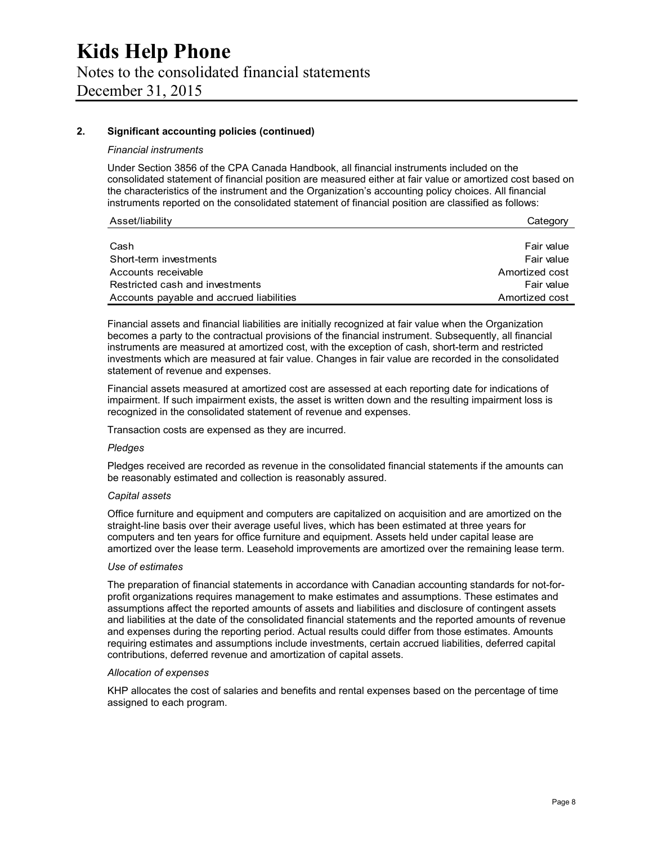#### **2. Significant accounting policies (continued)**

#### *Financial instruments*

Under Section 3856 of the CPA Canada Handbook, all financial instruments included on the consolidated statement of financial position are measured either at fair value or amortized cost based on the characteristics of the instrument and the Organization's accounting policy choices. All financial instruments reported on the consolidated statement of financial position are classified as follows:

| Asset/liability                          | Category       |
|------------------------------------------|----------------|
|                                          |                |
| Cash                                     | Fair value     |
| Short-term investments                   | Fair value     |
| Accounts receivable                      | Amortized cost |
| Restricted cash and investments          | Fair value     |
| Accounts payable and accrued liabilities | Amortized cost |

Financial assets and financial liabilities are initially recognized at fair value when the Organization becomes a party to the contractual provisions of the financial instrument. Subsequently, all financial instruments are measured at amortized cost, with the exception of cash, short-term and restricted investments which are measured at fair value. Changes in fair value are recorded in the consolidated statement of revenue and expenses.

Financial assets measured at amortized cost are assessed at each reporting date for indications of impairment. If such impairment exists, the asset is written down and the resulting impairment loss is recognized in the consolidated statement of revenue and expenses.

Transaction costs are expensed as they are incurred.

#### *Pledges*

Pledges received are recorded as revenue in the consolidated financial statements if the amounts can be reasonably estimated and collection is reasonably assured.

#### *Capital assets*

Office furniture and equipment and computers are capitalized on acquisition and are amortized on the straight-line basis over their average useful lives, which has been estimated at three years for computers and ten years for office furniture and equipment. Assets held under capital lease are amortized over the lease term. Leasehold improvements are amortized over the remaining lease term.

#### *Use of estimates*

The preparation of financial statements in accordance with Canadian accounting standards for not-forprofit organizations requires management to make estimates and assumptions. These estimates and assumptions affect the reported amounts of assets and liabilities and disclosure of contingent assets and liabilities at the date of the consolidated financial statements and the reported amounts of revenue and expenses during the reporting period. Actual results could differ from those estimates. Amounts requiring estimates and assumptions include investments, certain accrued liabilities, deferred capital contributions, deferred revenue and amortization of capital assets.

#### *Allocation of expenses*

KHP allocates the cost of salaries and benefits and rental expenses based on the percentage of time assigned to each program.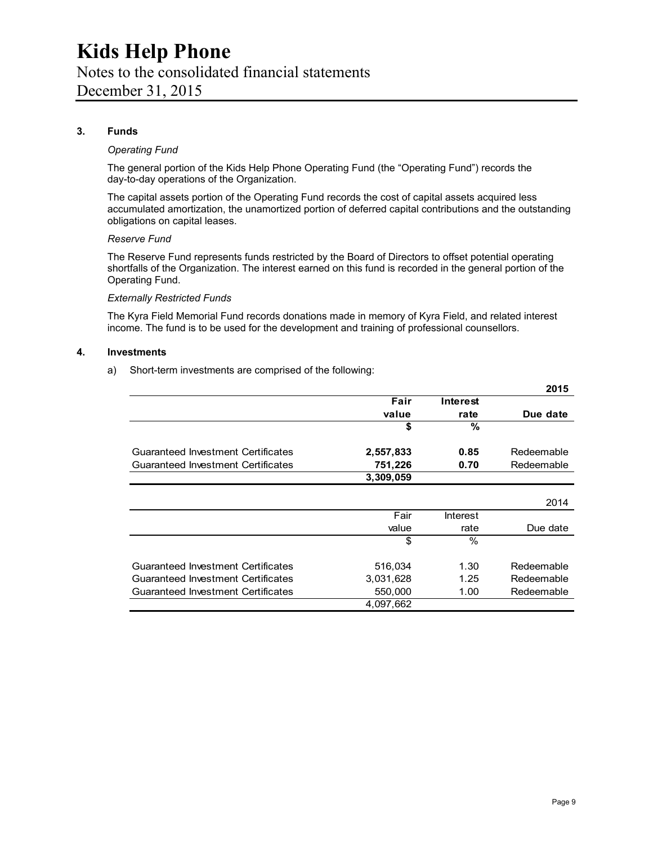# Notes to the consolidated financial statements

December 31, 2015

#### **3. Funds**

#### *Operating Fund*

The general portion of the Kids Help Phone Operating Fund (the "Operating Fund") records the day-to-day operations of the Organization.

The capital assets portion of the Operating Fund records the cost of capital assets acquired less accumulated amortization, the unamortized portion of deferred capital contributions and the outstanding obligations on capital leases.

#### *Reserve Fund*

The Reserve Fund represents funds restricted by the Board of Directors to offset potential operating shortfalls of the Organization. The interest earned on this fund is recorded in the general portion of the Operating Fund.

#### *Externally Restricted Funds*

The Kyra Field Memorial Fund records donations made in memory of Kyra Field, and related interest income. The fund is to be used for the development and training of professional counsellors.

#### **4. Investments**

a) Short-term investments are comprised of the following:

|                                    |           |                 | 2015       |
|------------------------------------|-----------|-----------------|------------|
|                                    | Fair      | Interest        |            |
|                                    | value     | rate            | Due date   |
|                                    | \$        | %               |            |
|                                    |           |                 |            |
| Guaranteed Investment Certificates | 2,557,833 | 0.85            | Redeemable |
| Guaranteed Investment Certificates | 751,226   | 0.70            | Redeemable |
|                                    | 3,309,059 |                 |            |
|                                    |           |                 |            |
|                                    |           |                 | 2014       |
|                                    | Fair      | <b>Interest</b> |            |
|                                    | value     | rate            | Due date   |
|                                    | \$        | $\%$            |            |
|                                    |           |                 |            |
| Guaranteed Investment Certificates | 516,034   | 1.30            | Redeemable |
| Guaranteed Investment Certificates | 3,031,628 | 1.25            | Redeemable |
| Guaranteed Investment Certificates | 550,000   | 1.00            | Redeemable |
|                                    | 4,097,662 |                 |            |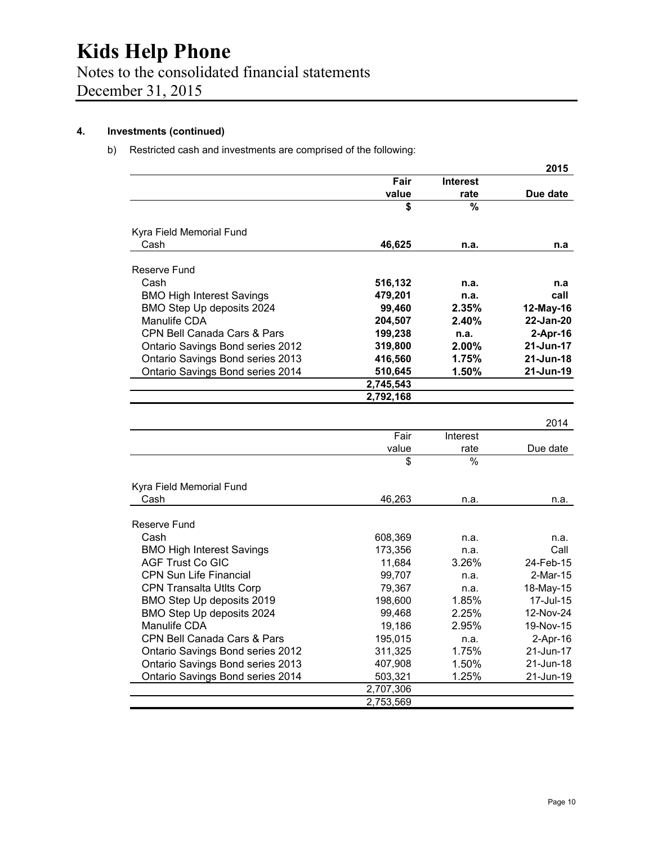## **Kids Help Phone**  Notes to the consolidated financial statements

December 31, 2015

#### **4. Investments (continued)**

b) Restricted cash and investments are comprised of the following:

|                                        |           |                 | 2015       |
|----------------------------------------|-----------|-----------------|------------|
|                                        | Fair      | <b>Interest</b> |            |
|                                        | value     | rate            | Due date   |
|                                        | \$        | %               |            |
| Kyra Field Memorial Fund               |           |                 |            |
| Cash                                   | 46,625    | n.a.            | n.a        |
| Reserve Fund                           |           |                 |            |
| Cash                                   | 516,132   | n.a.            | n.a        |
| <b>BMO High Interest Savings</b>       | 479,201   | n.a.            | call       |
| BMO Step Up deposits 2024              | 99,460    | 2.35%           | 12-May-16  |
| Manulife CDA                           | 204,507   | 2.40%           | 22-Jan-20  |
| <b>CPN Bell Canada Cars &amp; Pars</b> | 199,238   | n.a.            | 2-Apr-16   |
| Ontario Savings Bond series 2012       | 319,800   | 2.00%           | 21-Jun-17  |
| Ontario Savings Bond series 2013       | 416,560   | 1.75%           | 21-Jun-18  |
| Ontario Savings Bond series 2014       | 510,645   | 1.50%           | 21-Jun-19  |
|                                        | 2,745,543 |                 |            |
|                                        | 2,792,168 |                 |            |
|                                        |           |                 |            |
|                                        |           |                 | 2014       |
|                                        | Fair      | Interest        |            |
|                                        | value     | rate            | Due date   |
|                                        | \$        | $\%$            |            |
| Kyra Field Memorial Fund               |           |                 |            |
| Cash                                   | 46,263    | n.a.            | n.a.       |
| Reserve Fund                           |           |                 |            |
| Cash                                   | 608,369   | n.a.            | n.a.       |
| <b>BMO High Interest Savings</b>       | 173,356   | n.a.            | Call       |
| <b>AGF Trust Co GIC</b>                | 11,684    | 3.26%           | 24-Feb-15  |
| <b>CPN Sun Life Financial</b>          | 99,707    | n.a.            | $2-Mar-15$ |
| <b>CPN Transalta Utlts Corp</b>        | 79,367    | n.a.            | 18-May-15  |
| BMO Step Up deposits 2019              | 198,600   | 1.85%           | 17-Jul-15  |
| BMO Step Up deposits 2024              | 99,468    | 2.25%           | 12-Nov-24  |
| Manulife CDA                           | 19,186    | 2.95%           | 19-Nov-15  |
| CPN Bell Canada Cars & Pars            | 195,015   | n.a.            | $2-Apr-16$ |
| Ontario Savings Bond series 2012       | 311,325   | 1.75%           | 21-Jun-17  |
| Ontario Savings Bond series 2013       | 407,908   | 1.50%           | 21-Jun-18  |
| Ontario Savings Bond series 2014       | 503,321   | 1.25%           | 21-Jun-19  |
|                                        | 2,707,306 |                 |            |
|                                        | 2,753,569 |                 |            |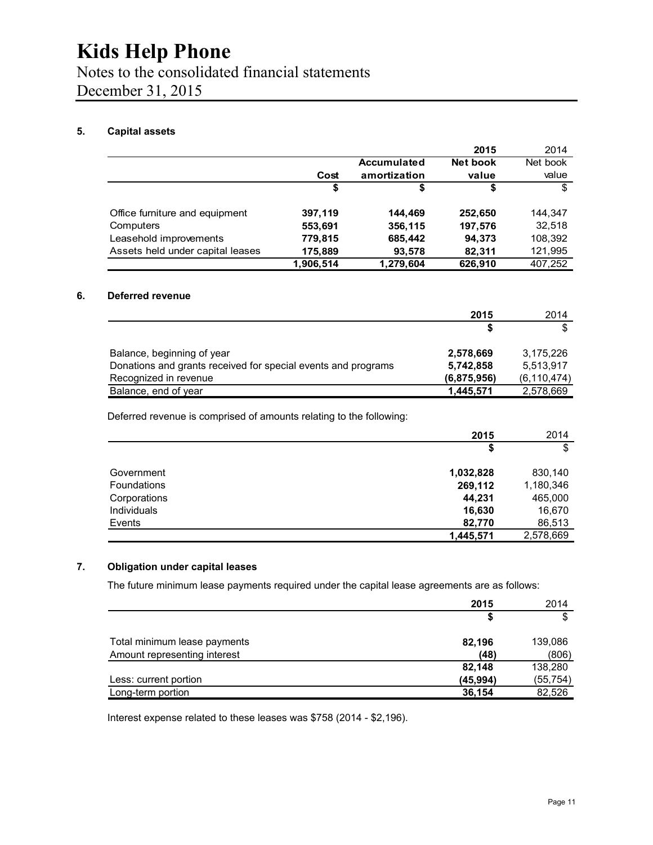# Notes to the consolidated financial statements

December 31, 2015

#### **5. Capital assets**

|                                  |           |                    | 2015     | 2014     |
|----------------------------------|-----------|--------------------|----------|----------|
|                                  |           | <b>Accumulated</b> | Net book | Net book |
|                                  | Cost      | amortization       | value    | value    |
|                                  | \$        | \$                 | \$       | \$       |
| Office furniture and equipment   | 397,119   | 144.469            | 252.650  | 144,347  |
| Computers                        | 553,691   | 356,115            | 197,576  | 32.518   |
| Leasehold improvements           | 779,815   | 685,442            | 94,373   | 108,392  |
| Assets held under capital leases | 175,889   | 93,578             | 82,311   | 121,995  |
|                                  | 1,906,514 | 1,279,604          | 626,910  | 407.252  |

#### **6. Deferred revenue**

|                                                               | 2015        | 2014          |
|---------------------------------------------------------------|-------------|---------------|
|                                                               |             |               |
| Balance, beginning of year                                    | 2,578,669   | 3,175,226     |
| Donations and grants received for special events and programs | 5,742,858   | 5,513,917     |
| Recognized in revenue                                         | (6,875,956) | (6, 110, 474) |
| Balance, end of year                                          | 1,445,571   | 2,578,669     |

Deferred revenue is comprised of amounts relating to the following:

|              | 2015      | 2014      |
|--------------|-----------|-----------|
|              | \$        | \$        |
| Government   | 1,032,828 | 830,140   |
| Foundations  | 269,112   | 1,180,346 |
| Corporations | 44.231    | 465,000   |
| Individuals  | 16,630    | 16,670    |
| Events       | 82,770    | 86,513    |
|              | 1,445,571 | 2,578,669 |

#### **7. Obligation under capital leases**

The future minimum lease payments required under the capital lease agreements are as follows:

|                              | 2015     | 2014      |
|------------------------------|----------|-----------|
|                              |          | \$        |
| Total minimum lease payments | 82,196   | 139,086   |
| Amount representing interest | (48)     | (806)     |
|                              | 82,148   | 138,280   |
| Less: current portion        | (45,994) | (55, 754) |
| Long-term portion            | 36,154   | 82,526    |

Interest expense related to these leases was \$758 (2014 - \$2,196).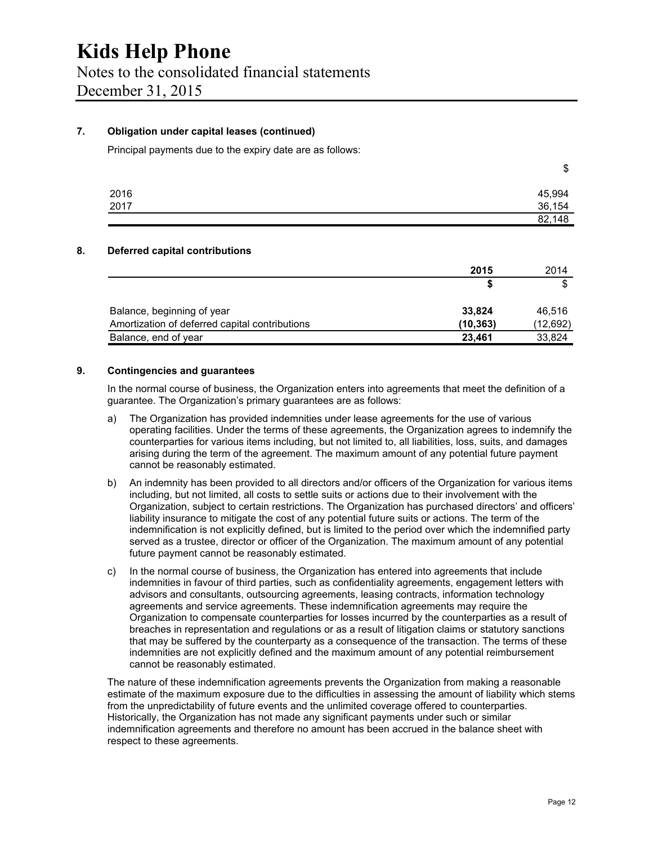#### **7. Obligation under capital leases (continued)**

Principal payments due to the expiry date are as follows:

| 2016 | 45,994        |
|------|---------------|
| 2017 | 36,154        |
|      | 82,148<br>UΖ, |

#### **8. Deferred capital contributions**

|                                                | 2015      | 2014     |
|------------------------------------------------|-----------|----------|
|                                                |           |          |
| Balance, beginning of year                     | 33.824    | 46.516   |
| Amortization of deferred capital contributions | (10, 363) | (12,692) |
| Balance, end of year                           | 23,461    | 33,824   |

#### **9. Contingencies and guarantees**

In the normal course of business, the Organization enters into agreements that meet the definition of a guarantee. The Organization's primary guarantees are as follows:

- a) The Organization has provided indemnities under lease agreements for the use of various operating facilities. Under the terms of these agreements, the Organization agrees to indemnify the counterparties for various items including, but not limited to, all liabilities, loss, suits, and damages arising during the term of the agreement. The maximum amount of any potential future payment cannot be reasonably estimated.
- b) An indemnity has been provided to all directors and/or officers of the Organization for various items including, but not limited, all costs to settle suits or actions due to their involvement with the Organization, subject to certain restrictions. The Organization has purchased directors' and officers' liability insurance to mitigate the cost of any potential future suits or actions. The term of the indemnification is not explicitly defined, but is limited to the period over which the indemnified party served as a trustee, director or officer of the Organization. The maximum amount of any potential future payment cannot be reasonably estimated.
- In the normal course of business, the Organization has entered into agreements that include indemnities in favour of third parties, such as confidentiality agreements, engagement letters with advisors and consultants, outsourcing agreements, leasing contracts, information technology agreements and service agreements. These indemnification agreements may require the Organization to compensate counterparties for losses incurred by the counterparties as a result of breaches in representation and regulations or as a result of litigation claims or statutory sanctions that may be suffered by the counterparty as a consequence of the transaction. The terms of these indemnities are not explicitly defined and the maximum amount of any potential reimbursement cannot be reasonably estimated.

The nature of these indemnification agreements prevents the Organization from making a reasonable estimate of the maximum exposure due to the difficulties in assessing the amount of liability which stems from the unpredictability of future events and the unlimited coverage offered to counterparties. Historically, the Organization has not made any significant payments under such or similar indemnification agreements and therefore no amount has been accrued in the balance sheet with respect to these agreements.

\$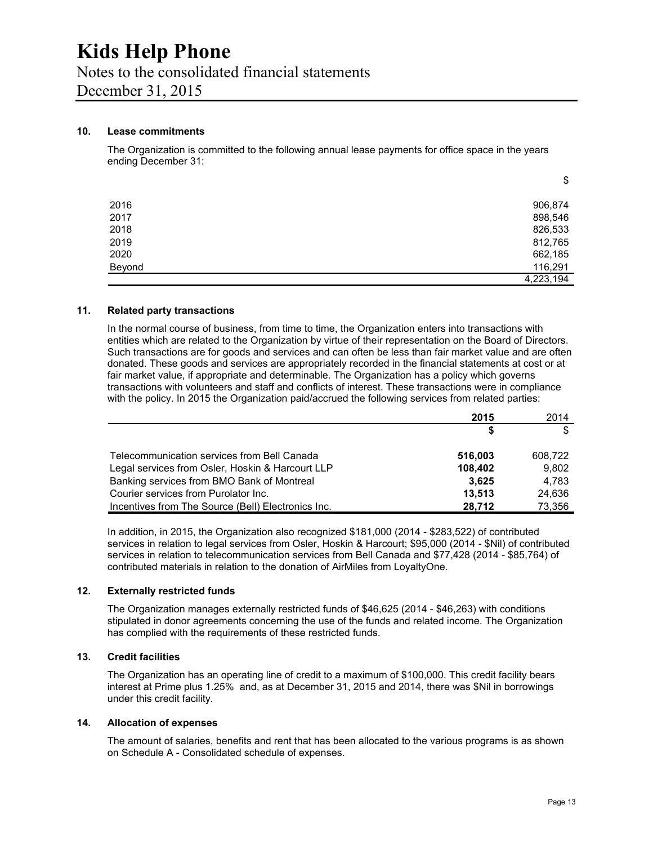## Notes to the consolidated financial statements

December 31, 2015

#### **10. Lease commitments**

The Organization is committed to the following annual lease payments for office space in the years ending December 31:

|        | ▼         |
|--------|-----------|
| 2016   | 906,874   |
| 2017   | 898,546   |
| 2018   | 826,533   |
| 2019   | 812,765   |
| 2020   | 662,185   |
| Beyond | 116,291   |
|        | 4,223,194 |

#### **11. Related party transactions**

In the normal course of business, from time to time, the Organization enters into transactions with entities which are related to the Organization by virtue of their representation on the Board of Directors. Such transactions are for goods and services and can often be less than fair market value and are often donated. These goods and services are appropriately recorded in the financial statements at cost or at fair market value, if appropriate and determinable. The Organization has a policy which governs transactions with volunteers and staff and conflicts of interest. These transactions were in compliance with the policy. In 2015 the Organization paid/accrued the following services from related parties:

|                                                    | 2015    | 2014    |
|----------------------------------------------------|---------|---------|
|                                                    | \$      |         |
| Telecommunication services from Bell Canada        | 516,003 | 608.722 |
| Legal services from Osler, Hoskin & Harcourt LLP   | 108,402 | 9.802   |
| Banking services from BMO Bank of Montreal         | 3.625   | 4.783   |
| Courier services from Purolator Inc.               | 13.513  | 24,636  |
| Incentives from The Source (Bell) Electronics Inc. | 28.712  | 73,356  |

In addition, in 2015, the Organization also recognized \$181,000 (2014 - \$283,522) of contributed services in relation to legal services from Osler, Hoskin & Harcourt; \$95,000 (2014 - \$Nil) of contributed services in relation to telecommunication services from Bell Canada and \$77,428 (2014 - \$85,764) of contributed materials in relation to the donation of AirMiles from LoyaltyOne.

#### **12. Externally restricted funds**

The Organization manages externally restricted funds of \$46,625 (2014 - \$46,263) with conditions stipulated in donor agreements concerning the use of the funds and related income. The Organization has complied with the requirements of these restricted funds.

#### **13. Credit facilities**

The Organization has an operating line of credit to a maximum of \$100,000. This credit facility bears interest at Prime plus 1.25% and, as at December 31, 2015 and 2014, there was \$Nil in borrowings under this credit facility.

#### **14. Allocation of expenses**

The amount of salaries, benefits and rent that has been allocated to the various programs is as shown on Schedule A - Consolidated schedule of expenses.

\$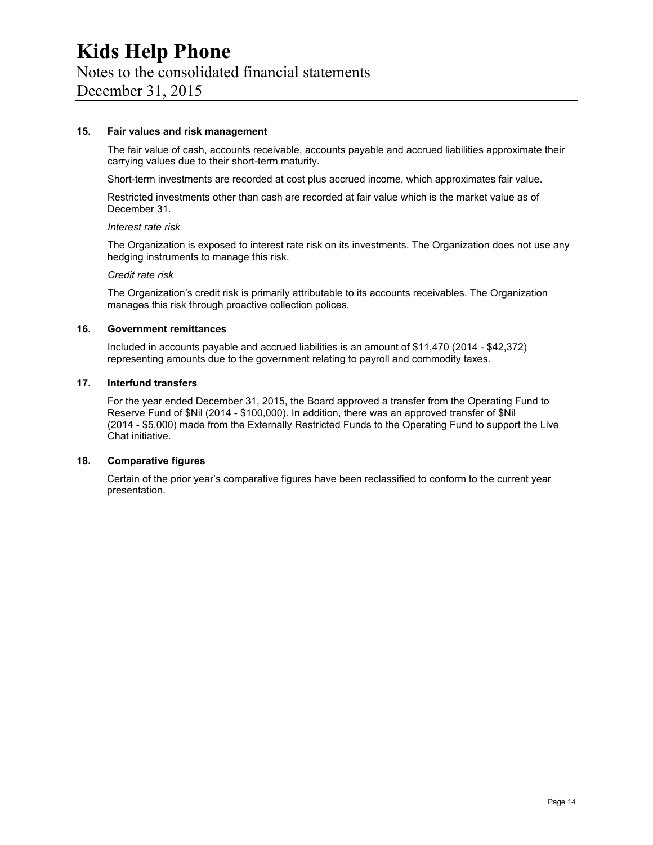### **Kids Help Phone**  Notes to the consolidated financial statements December 31, 2015

#### **15. Fair values and risk management**

The fair value of cash, accounts receivable, accounts payable and accrued liabilities approximate their carrying values due to their short-term maturity.

Short-term investments are recorded at cost plus accrued income, which approximates fair value.

Restricted investments other than cash are recorded at fair value which is the market value as of December 31.

#### *Interest rate risk*

The Organization is exposed to interest rate risk on its investments. The Organization does not use any hedging instruments to manage this risk.

#### *Credit rate risk*

The Organization's credit risk is primarily attributable to its accounts receivables. The Organization manages this risk through proactive collection polices.

#### **16. Government remittances**

Included in accounts payable and accrued liabilities is an amount of \$11,470 (2014 - \$42,372) representing amounts due to the government relating to payroll and commodity taxes.

#### **17. Interfund transfers**

For the year ended December 31, 2015, the Board approved a transfer from the Operating Fund to Reserve Fund of \$Nil (2014 - \$100,000). In addition, there was an approved transfer of \$Nil (2014 - \$5,000) made from the Externally Restricted Funds to the Operating Fund to support the Live Chat initiative.

#### **18. Comparative figures**

Certain of the prior year's comparative figures have been reclassified to conform to the current year presentation.